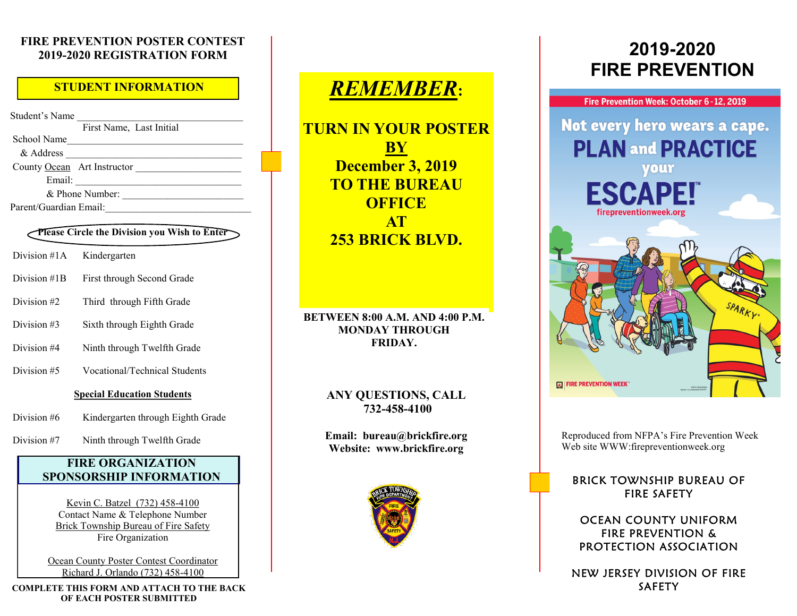#### **FIRE PREVENTION POSTER CONTEST 2019-2020 REGISTRATION FORM**

### **STUDENT INFORMATION**

Student's Name First Name, Last Initial School Name & Address \_\_\_\_\_\_\_\_\_\_\_\_\_\_\_\_\_\_\_\_\_\_\_\_\_\_\_\_\_\_\_\_\_\_\_ County Ocean Art Instructor Email: \_\_\_\_\_\_\_\_\_\_\_\_\_\_\_\_\_\_\_\_\_\_\_\_\_\_\_\_\_\_\_\_\_ & Phone Number: \_\_\_\_\_\_\_\_\_\_\_\_\_\_\_\_\_\_\_\_\_\_\_\_ Parent/Guardian Email:

#### **Please Circle the Division you Wish to Enter**

- Division #1A Kindergarten
- Division #1B First through Second Grade
- Division #2 Third through Fifth Grade
- Division #3 Sixth through Eighth Grade
- Division #4 Ninth through Twelfth Grade
- Division #5 Vocational/Technical Students

#### **Special Education Students**

- Division #6 Kindergarten through Eighth Grade
- Division #7 Ninth through Twelfth Grade

#### **FIRE ORGANIZATION SPONSORSHIP INFORMATION**

Kevin C. Batzel (732) 458-4100 Contact Name & Telephone Number Brick Township Bureau of Fire Safety Fire Organization

Ocean County Poster Contest Coordinator Richard J. Orlando (732) 458-4100

**COMPLETE THIS FORM AND ATTACH TO THE BACK OF EACH POSTER SUBMITTED**

# *REMEMBER***:**

**TURN IN YOUR POSTER BY December 3, 2019 TO THE BUREAU OFFICE AT 253 BRICK BLVD.** 

#### **BETWEEN 8:00 A.M. AND 4:00 P.M. MONDAY THROUGH FRIDAY.**

#### **ANY QUESTIONS, CALL 732-458-4100**

**Email: bureau@brickfire.org Website: www.brickfire.org**



# **2019-2020 FIRE PREVENTION**



Reproduced from NFPA's Fire Prevention Week Web site WWW:firepreventionweek.org

#### **BRICK TOWNSHIP BUREAU OF FIRE SAFETY**

#### OCEAN COUNTY UNIFORM **FIRE PREVENTION &** PROTECTION ASSOCIATION

NEW JERSEY DIVISION OF FIRE **SAFETY**